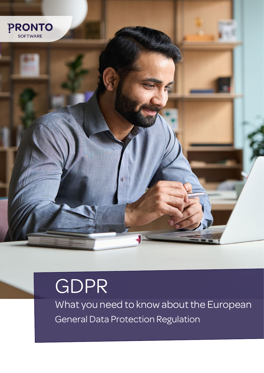

# GDPR

What you need to know about the European General Data Protection Regulation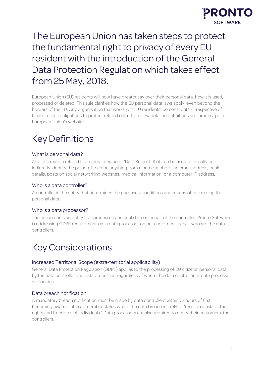

# The European Union has taken steps to protect the fundamental right to privacy of every EU resident with the introduction of the General Data Protection Regulation which takes effect from 25 May, 2018.

European Union (EU) residents will now have greater say over their personal data; how it is used, processed or deleted. This rule clarifies how the EU personal data laws apply, even beyond the borders of the EU. Any organisation that works with EU residents' personal data - irrespective of location - has obligations to protect related data. To review detailed definitions and articles, go to European Union's website.

# Key Definitions

# What is personal data?

Any information related to a natural person or 'Data Subject' that can be used to directly or indirectly identify the person. It can be anything from a name, a photo, an email address, bank details, posts on social networking websites, medical information, or a computer IP address.

# Who is a data controller?

A controller is the entity that determines the purposes, conditions and means of processing the personal data.

#### Who is a data processor?

The processor is an entity that processes personal data on behalf of the controller. Pronto Software is addressing GDPR requirements as a data processor on our customers' behalf who are the data controllers.

# Key Considerations

#### Increased Territorial Scope (extra-territorial applicability)

General Data Protection Regulation (GDPR) applies to the processing of EU citizens' personal data by the data controller and data processor, regardless of where the data controller or data processor are located.

# Data breach notification

A mandatory breach notification must be made by data controllers within 72 hours of first becoming aware of it in all member states where the data breach is likely to "result in a risk for the rights and freedoms of individuals." Data processors are also required to notify their customers, the controllers.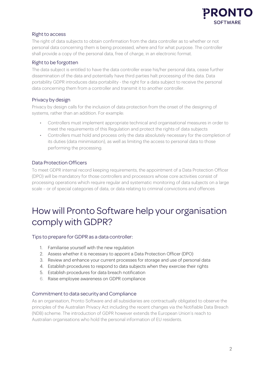

# Right to access

The right of data subjects to obtain confirmation from the data controller as to whether or not personal data concerning them is being processed, where and for what purpose. The controller shall provide a copy of the personal data, free of charge, in an electronic format.

## Right to be forgotten

The data subject is entitled to have the data controller erase his/her personal data, cease further dissemination of the data and potentially have third parties halt processing of the data. Data portability GDPR introduces data portability - the right for a data subject to receive the personal data concerning them from a controller and transmit it to another controller.

## Privacy by design

Privacy by design calls for the inclusion of data protection from the onset of the designing of systems, rather than an addition. For example:

- Controllers must implement appropriate technical and organisational measures in order to meet the requirements of this Regulation and protect the rights of data subjects
- Controllers must hold and process only the data absolutely necessary for the completion of its duties (data minimisation), as well as limiting the access to personal data to those performing the processing.

# Data Protection Officers

To meet GDPR internal record keeping requirements, the appointment of a Data Protection Officer (DPO) will be mandatory for those controllers and processors whose core activities consist of processing operations which require regular and systematic monitoring of data subjects on a large scale – or of special categories of data, or data relating to criminal convictions and offences

# How will Pronto Software help your organisation comply with GDPR?

#### Tips to prepare for GDPR as a data controller:

- 1. Familiarise yourself with the new regulation
- 2. Assess whether it is necessary to appoint a Data Protection Officer (DPO)
- 3. Review and enhance your current processes for storage and use of personal data
- 4. Establish procedures to respond to data subjects when they exercise their rights
- 5. Establish procedures for data breach notification
- 6. Raise employee awareness on GDPR compliance

#### Commitment to data security and Compliance

As an organisation, Pronto Software and all subsidiaries are contractually obligated to observe the principles of the Australian Privacy Act including the recent changes via the Notifiable Data Breach (NDB) scheme. The introduction of GDPR however extends the European Union's reach to Australian organisations who hold the personal information of EU residents.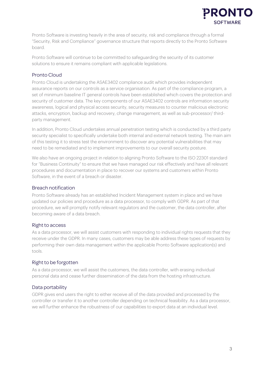

Pronto Software is investing heavily in the area of security, risk and compliance through a formal "Security, Risk and Compliance" governance structure that reports directly to the Pronto Software board.

Pronto Software will continue to be committed to safeguarding the security of its customer solutions to ensure it remains compliant with applicable legislations.

# Pronto Cloud

Pronto Cloud is undertaking the ASAE3402 compliance audit which provides independent assurance reports on our controls as a service organisation. As part of the compliance program, a set of minimum baseline IT general controls have been established which covers the protection and security of customer data. The key components of our ASAE3402 controls are information security awareness, logical and physical access security, security measures to counter malicious electronic attacks, encryption, backup and recovery, change management, as well as sub-processor/ thirdparty management.

In addition, Pronto Cloud undertakes annual penetration testing which is conducted by a third party security specialist to specifically undertake both internal and external network testing. The main aim of this testing it to stress test the environment to discover any potential vulnerabilities that may need to be remediated and to implement improvements to our overall security posture.

We also have an ongoing project in relation to aligning Pronto Software to the ISO 22301 standard for "Business Continuity" to ensure that we have managed our risk effectively and have all relevant procedures and documentation in place to recover our systems and customers within Pronto Software, in the event of a breach or disaster.

#### Breach notification

Pronto Software already has an established Incident Management system in place and we have updated our policies and procedure as a data processor, to comply with GDPR. As part of that procedure, we will promptly notify relevant regulators and the customer, the data controller, after becoming aware of a data breach.

#### Right to access

As a data processor, we will assist customers with responding to individual rights requests that they receive under the GDPR. In many cases, customers may be able address these types of requests by performing their own data management within the applicable Pronto Software application(s) and tools.

#### Right to be forgotten

As a data processor, we will assist the customers, the data controller, with erasing individual personal data and cease further dissemination of the data from the hosting infrastructure.

#### Data portability

GDPR gives end users the right to either receive all of the data provided and processed by the controller or transfer it to another controller depending on technical feasibility. As a data processor, we will further enhance the robustness of our capabilities to export data at an individual level.